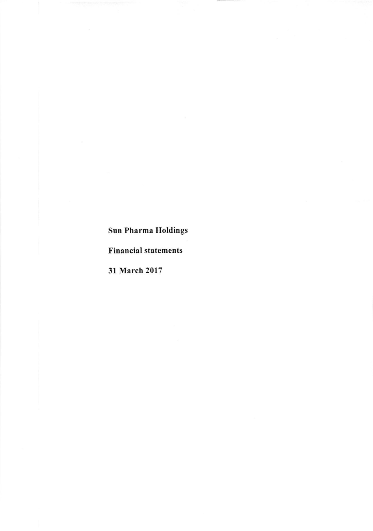# Sun Pharma Holdings

### Financial statements

31 March 2017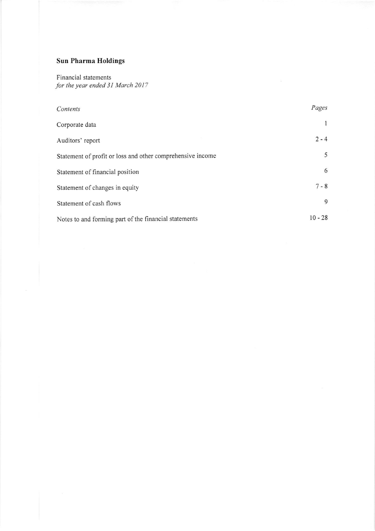## Sun Pharma Holdings

Financial statements for the year ended 31 March 2017

| Contents                                                   | Pages     |
|------------------------------------------------------------|-----------|
| Corporate data                                             |           |
| Auditors' report                                           | $2 - 4$   |
| Statement of profit or loss and other comprehensive income | 5         |
| Statement of financial position                            | 6         |
| Statement of changes in equity                             | $7 - 8$   |
| Statement of cash flows                                    | 9         |
| Notes to and forming part of the financial statements      | $10 - 28$ |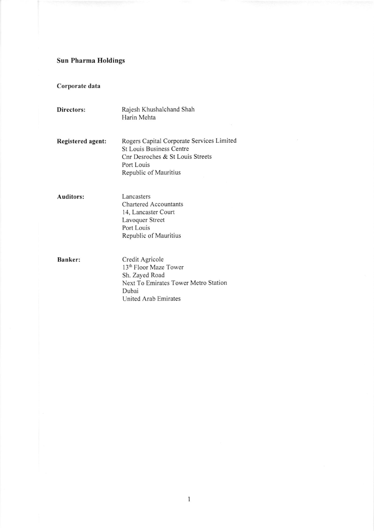## Sun Pharma Holdings

Corporate data

| Directors:               | Rajesh Khushalchand Shah<br>Harin Mehta                                                                                                                 |
|--------------------------|---------------------------------------------------------------------------------------------------------------------------------------------------------|
| <b>Registered agent:</b> | Rogers Capital Corporate Services Limited<br><b>St Louis Business Centre</b><br>Cnr Desroches & St Louis Streets<br>Port Louis<br>Republic of Mauritius |
| Auditors:                | Lancasters<br><b>Chartered Accountants</b><br>14, Lancaster Court<br>Lavoquer Street<br>Port Louis<br>Republic of Mauritius                             |
| Banker:                  | Credit Agricole<br>13 <sup>th</sup> Floor Maze Tower<br>Sh. Zayed Road<br>Next To Emirates Tower Metro Station<br>Dubai<br><b>United Arab Emirates</b>  |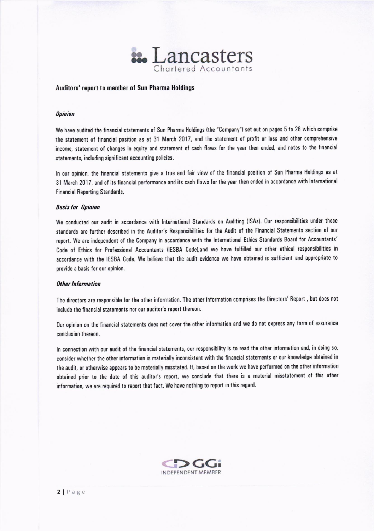

#### Auditors' report to member of Sun Pharma Holdings

#### **Opinion**

We have audited the financial statements of Sun Pharma Holdings (the "Company") set out on pages 5 to 28 which comprise the statement of financial position as at 31 March 2017, and the statement of profit or loss and other comprehensive income, statement of changes in equity and statement of cash flows for the year then ended, and notes to the financial statements, including significant accounting policies.

In our opinion, the financial statements give a true and fair view of the financial position of Sun Pharma Holdings as at 31 March 2017, and of its financial performance and its cash flows for the year then ended in accordance with International Financial Reporting Standards.

#### **Basis for Opinion**

We conducted our audit in accordance with International Standards on Auditing (ISAs). Our responsibilities under those standards are further described in the Auditor's Responsibilities for the Audit of the Financial Statements section of our report. We are independent of the Company in accordance with the International Ethics Standards Board for Accountants' Code of Ethics for Professional Accountants (IESBA Code), and we have fulfilled our other ethical responsibilities in accordance with the IESBA Code. We believe that the audit evidence we have obtained is sufficient and appropriate to provide a basis for our opinion.

#### 0ther lnfornation

The directors are responsible for the other information. The other information comprises the Directors' Report, but does not include the financial statements nor our auditor's report thereon.

Our opinion on the financial statements does not cover the other information and we do not express any form of assurance conclusion thereon.

In connection with our audit of the financial statements, our responsibility is to read the other information and, in doing so, consider whether the other information is materially inconsistent with the financial statements or our knowledge obtained in the audit, or otherwise appears to be materially misstated. If, based on the work we have performed on the other information obtained prior to the date of this auditor's report, we conclude that there is a material misstatement of this other information, we are required to report that fact. We have nothing to report in this regard.